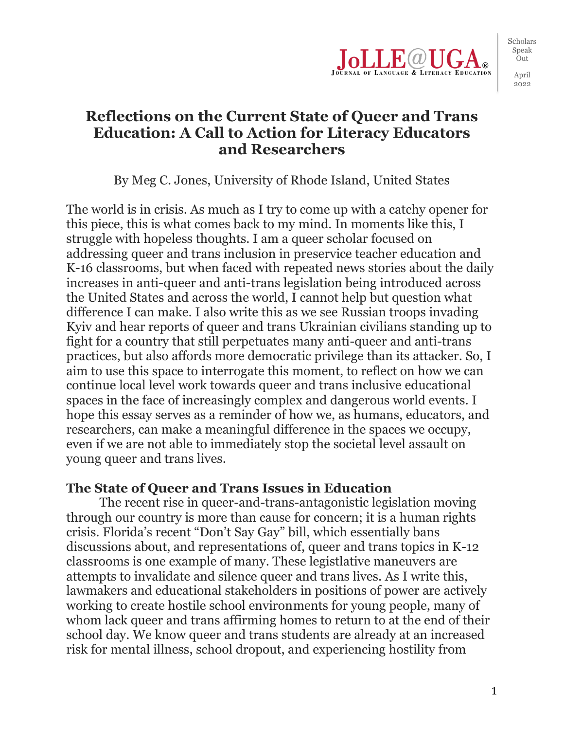

2022

# **Reflections on the Current State of Queer and Trans Education: A Call to Action for Literacy Educators and Researchers**

By Meg C. Jones, University of Rhode Island, United States

The world is in crisis. As much as I try to come up with a catchy opener for this piece, this is what comes back to my mind. In moments like this, I struggle with hopeless thoughts. I am a queer scholar focused on addressing queer and trans inclusion in preservice teacher education and K-16 classrooms, but when faced with repeated news stories about the daily increases in anti-queer and anti-trans legislation being introduced across the United States and across the world, I cannot help but question what difference I can make. I also write this as we see Russian troops invading Kyiv and hear reports of queer and trans Ukrainian civilians standing up to fight for a country that still perpetuates many anti-queer and anti-trans practices, but also affords more democratic privilege than its attacker. So, I aim to use this space to interrogate this moment, to reflect on how we can continue local level work towards queer and trans inclusive educational spaces in the face of increasingly complex and dangerous world events. I hope this essay serves as a reminder of how we, as humans, educators, and researchers, can make a meaningful difference in the spaces we occupy, even if we are not able to immediately stop the societal level assault on young queer and trans lives.

#### **The State of Queer and Trans Issues in Education**

The recent rise in queer-and-trans-antagonistic legislation moving through our country is more than cause for concern; it is a human rights crisis. Florida's recent "Don't Say Gay" bill, which essentially bans discussions about, and representations of, queer and trans topics in K-12 classrooms is one example of many. These legistlative maneuvers are attempts to invalidate and silence queer and trans lives. As I write this, lawmakers and educational stakeholders in positions of power are actively working to create hostile school environments for young people, many of whom lack queer and trans affirming homes to return to at the end of their school day. We know queer and trans students are already at an increased risk for mental illness, school dropout, and experiencing hostility from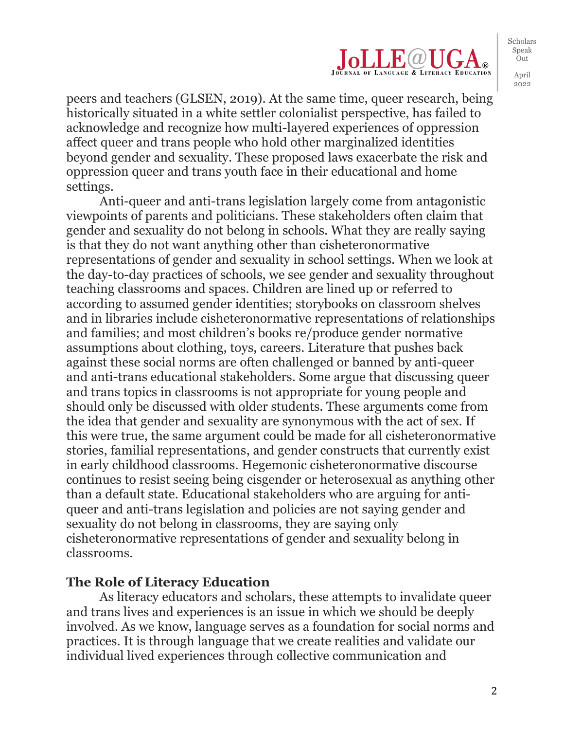

peers and teachers (GLSEN, 2019). At the same time, queer research, being historically situated in a white settler colonialist perspective, has failed to acknowledge and recognize how multi-layered experiences of oppression affect queer and trans people who hold other marginalized identities beyond gender and sexuality. These proposed laws exacerbate the risk and oppression queer and trans youth face in their educational and home settings.

Anti-queer and anti-trans legislation largely come from antagonistic viewpoints of parents and politicians. These stakeholders often claim that gender and sexuality do not belong in schools. What they are really saying is that they do not want anything other than cisheteronormative representations of gender and sexuality in school settings. When we look at the day-to-day practices of schools, we see gender and sexuality throughout teaching classrooms and spaces. Children are lined up or referred to according to assumed gender identities; storybooks on classroom shelves and in libraries include cisheteronormative representations of relationships and families; and most children's books re/produce gender normative assumptions about clothing, toys, careers. Literature that pushes back against these social norms are often challenged or banned by anti-queer and anti-trans educational stakeholders. Some argue that discussing queer and trans topics in classrooms is not appropriate for young people and should only be discussed with older students. These arguments come from the idea that gender and sexuality are synonymous with the act of sex. If this were true, the same argument could be made for all cisheteronormative stories, familial representations, and gender constructs that currently exist in early childhood classrooms. Hegemonic cisheteronormative discourse continues to resist seeing being cisgender or heterosexual as anything other than a default state. Educational stakeholders who are arguing for antiqueer and anti-trans legislation and policies are not saying gender and sexuality do not belong in classrooms, they are saying only cisheteronormative representations of gender and sexuality belong in classrooms.

### **The Role of Literacy Education**

As literacy educators and scholars, these attempts to invalidate queer and trans lives and experiences is an issue in which we should be deeply involved. As we know, language serves as a foundation for social norms and practices. It is through language that we create realities and validate our individual lived experiences through collective communication and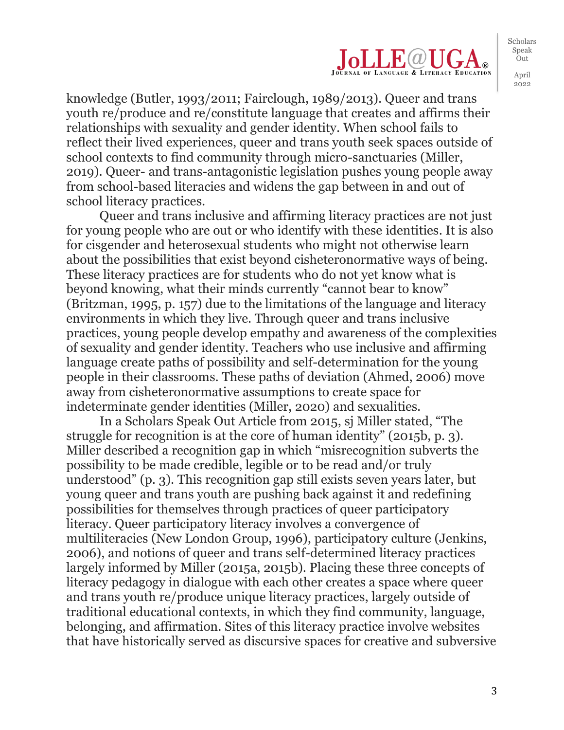

knowledge (Butler, 1993/2011; Fairclough, 1989/2013). Queer and trans youth re/produce and re/constitute language that creates and affirms their relationships with sexuality and gender identity. When school fails to reflect their lived experiences, queer and trans youth seek spaces outside of school contexts to find community through micro-sanctuaries (Miller, 2019). Queer- and trans-antagonistic legislation pushes young people away from school-based literacies and widens the gap between in and out of school literacy practices.

Queer and trans inclusive and affirming literacy practices are not just for young people who are out or who identify with these identities. It is also for cisgender and heterosexual students who might not otherwise learn about the possibilities that exist beyond cisheteronormative ways of being. These literacy practices are for students who do not yet know what is beyond knowing, what their minds currently "cannot bear to know" (Britzman, 1995, p. 157) due to the limitations of the language and literacy environments in which they live. Through queer and trans inclusive practices, young people develop empathy and awareness of the complexities of sexuality and gender identity. Teachers who use inclusive and affirming language create paths of possibility and self-determination for the young people in their classrooms. These paths of deviation (Ahmed, 2006) move away from cisheteronormative assumptions to create space for indeterminate gender identities (Miller, 2020) and sexualities.

In a Scholars Speak Out Article from 2015, sj Miller stated, "The struggle for recognition is at the core of human identity" (2015b, p. 3). Miller described a recognition gap in which "misrecognition subverts the possibility to be made credible, legible or to be read and/or truly understood" (p. 3). This recognition gap still exists seven years later, but young queer and trans youth are pushing back against it and redefining possibilities for themselves through practices of queer participatory literacy. Queer participatory literacy involves a convergence of multiliteracies (New London Group, 1996), participatory culture (Jenkins, 2006), and notions of queer and trans self-determined literacy practices largely informed by Miller (2015a, 2015b). Placing these three concepts of literacy pedagogy in dialogue with each other creates a space where queer and trans youth re/produce unique literacy practices, largely outside of traditional educational contexts, in which they find community, language, belonging, and affirmation. Sites of this literacy practice involve websites that have historically served as discursive spaces for creative and subversive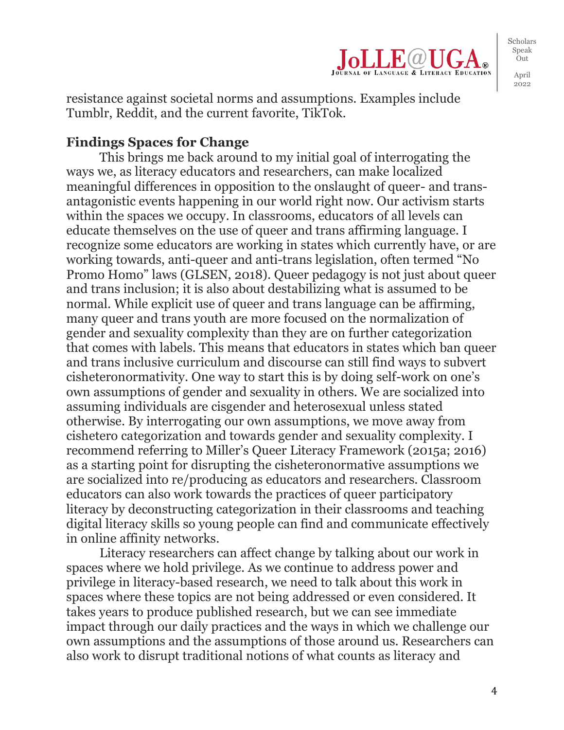

resistance against societal norms and assumptions. Examples include Tumblr, Reddit, and the current favorite, TikTok.

#### **Findings Spaces for Change**

This brings me back around to my initial goal of interrogating the ways we, as literacy educators and researchers, can make localized meaningful differences in opposition to the onslaught of queer- and transantagonistic events happening in our world right now. Our activism starts within the spaces we occupy. In classrooms, educators of all levels can educate themselves on the use of queer and trans affirming language. I recognize some educators are working in states which currently have, or are working towards, anti-queer and anti-trans legislation, often termed "No Promo Homo" laws (GLSEN, 2018). Queer pedagogy is not just about queer and trans inclusion; it is also about destabilizing what is assumed to be normal. While explicit use of queer and trans language can be affirming, many queer and trans youth are more focused on the normalization of gender and sexuality complexity than they are on further categorization that comes with labels. This means that educators in states which ban queer and trans inclusive curriculum and discourse can still find ways to subvert cisheteronormativity. One way to start this is by doing self-work on one's own assumptions of gender and sexuality in others. We are socialized into assuming individuals are cisgender and heterosexual unless stated otherwise. By interrogating our own assumptions, we move away from cishetero categorization and towards gender and sexuality complexity. I recommend referring to Miller's Queer Literacy Framework (2015a; 2016) as a starting point for disrupting the cisheteronormative assumptions we are socialized into re/producing as educators and researchers. Classroom educators can also work towards the practices of queer participatory literacy by deconstructing categorization in their classrooms and teaching digital literacy skills so young people can find and communicate effectively in online affinity networks.

Literacy researchers can affect change by talking about our work in spaces where we hold privilege. As we continue to address power and privilege in literacy-based research, we need to talk about this work in spaces where these topics are not being addressed or even considered. It takes years to produce published research, but we can see immediate impact through our daily practices and the ways in which we challenge our own assumptions and the assumptions of those around us. Researchers can also work to disrupt traditional notions of what counts as literacy and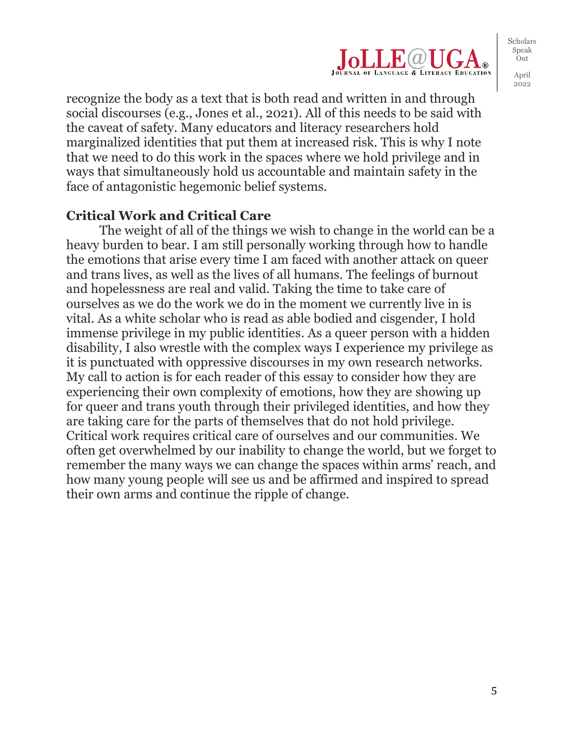

recognize the body as a text that is both read and written in and through social discourses (e.g., Jones et al., 2021). All of this needs to be said with the caveat of safety. Many educators and literacy researchers hold marginalized identities that put them at increased risk. This is why I note that we need to do this work in the spaces where we hold privilege and in ways that simultaneously hold us accountable and maintain safety in the face of antagonistic hegemonic belief systems.

#### **Critical Work and Critical Care**

The weight of all of the things we wish to change in the world can be a heavy burden to bear. I am still personally working through how to handle the emotions that arise every time I am faced with another attack on queer and trans lives, as well as the lives of all humans. The feelings of burnout and hopelessness are real and valid. Taking the time to take care of ourselves as we do the work we do in the moment we currently live in is vital. As a white scholar who is read as able bodied and cisgender, I hold immense privilege in my public identities. As a queer person with a hidden disability, I also wrestle with the complex ways I experience my privilege as it is punctuated with oppressive discourses in my own research networks. My call to action is for each reader of this essay to consider how they are experiencing their own complexity of emotions, how they are showing up for queer and trans youth through their privileged identities, and how they are taking care for the parts of themselves that do not hold privilege. Critical work requires critical care of ourselves and our communities. We often get overwhelmed by our inability to change the world, but we forget to remember the many ways we can change the spaces within arms' reach, and how many young people will see us and be affirmed and inspired to spread their own arms and continue the ripple of change.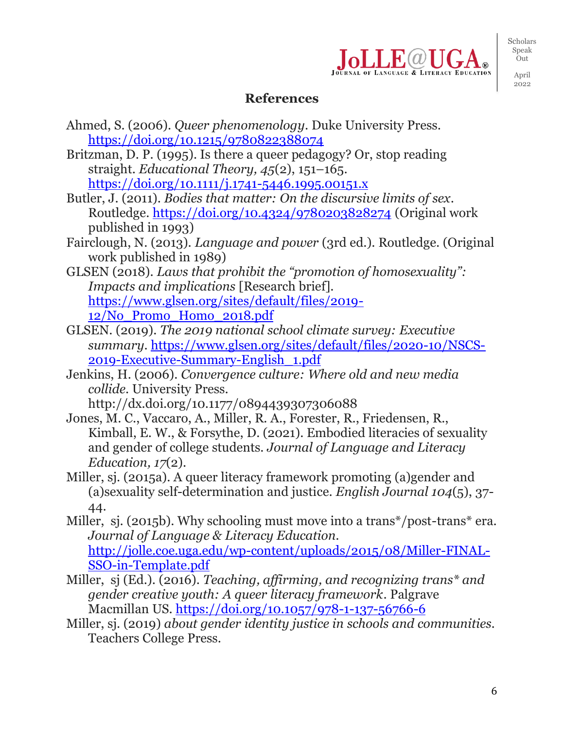

Scholars Speak .<br>Out

April 2022

## **References**

- Ahmed, S. (2006). *Queer phenomenology*. Duke University Press. <https://doi.org/10.1215/9780822388074>
- Britzman, D. P. (1995). Is there a queer pedagogy? Or, stop reading straight. *Educational Theory, 45*(2), 151–165. <https://doi.org/10.1111/j.1741-5446.1995.00151.x>
- Butler, J. (2011). *Bodies that matter: On the discursive limits of sex*. Routledge.<https://doi.org/10.4324/9780203828274> (Original work published in 1993)
- Fairclough, N. (2013). *Language and power* (3rd ed.)*.* Routledge. (Original work published in 1989)
- GLSEN (2018). *Laws that prohibit the "promotion of homosexuality": Impacts and implications* [Research brief]*.*  [https://www.glsen.org/sites/default/files/2019-](https://www.glsen.org/sites/default/files/2019-12/No_Promo_Homo_2018.pdf) [12/No\\_Promo\\_Homo\\_2018.pdf](https://www.glsen.org/sites/default/files/2019-12/No_Promo_Homo_2018.pdf)
- GLSEN. (2019). *The 2019 national school climate survey: Executive summary*. [https://www.glsen.org/sites/default/files/2020-10/NSCS-](https://www.glsen.org/sites/default/files/2020-10/NSCS-2019-Executive-Summary-English_1.pdf)[2019-Executive-Summary-English\\_1.pdf](https://www.glsen.org/sites/default/files/2020-10/NSCS-2019-Executive-Summary-English_1.pdf)
- Jenkins, H. (2006). *Convergence culture: Where old and new media collide*. University Press.
- http://dx.doi.org/10.1177/0894439307306088 Jones, M. C., Vaccaro, A., Miller, R. A., Forester, R., Friedensen, R., Kimball, E. W., & Forsythe, D. (2021). Embodied literacies of sexuality and gender of college students. *Journal of Language and Literacy Education, 17*(2).
- Miller, sj. (2015a). A queer literacy framework promoting (a)gender and (a)sexuality self-determination and justice. *English Journal 104*(5), 37- 44.
- Miller, sj. (2015b). Why schooling must move into a trans\*/post-trans\* era. *Journal of Language & Literacy Education.*  [http://jolle.coe.uga.edu/wp-content/uploads/2015/08/Miller-FINAL-](http://jolle.coe.uga.edu/wp-content/uploads/2015/08/Miller-FINAL-SSO-in-Template.pdf)[SSO-in-Template.pdf](http://jolle.coe.uga.edu/wp-content/uploads/2015/08/Miller-FINAL-SSO-in-Template.pdf)
- Miller, sj (Ed.). (2016). *Teaching, affirming, and recognizing trans\* and gender creative youth: A queer literacy framework*. Palgrave Macmillan US.<https://doi.org/10.1057/978-1-137-56766-6>
- Miller, sj. (2019) *about gender identity justice in schools and communities.* Teachers College Press.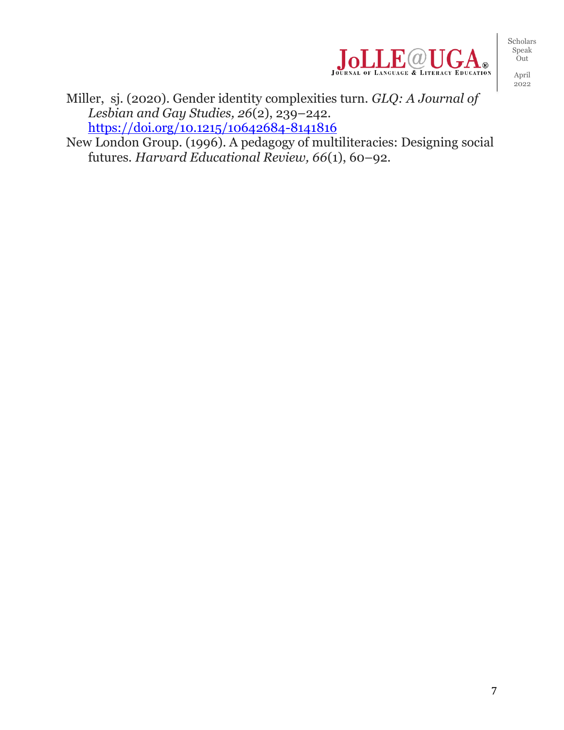

2022

Miller, sj. (2020). Gender identity complexities turn. *GLQ: A Journal of Lesbian and Gay Studies, 26*(2), 239–242. <https://doi.org/10.1215/10642684-8141816>

New London Group. (1996). A pedagogy of multiliteracies: Designing social futures. *Harvard Educational Review, 66*(1), 60–92.